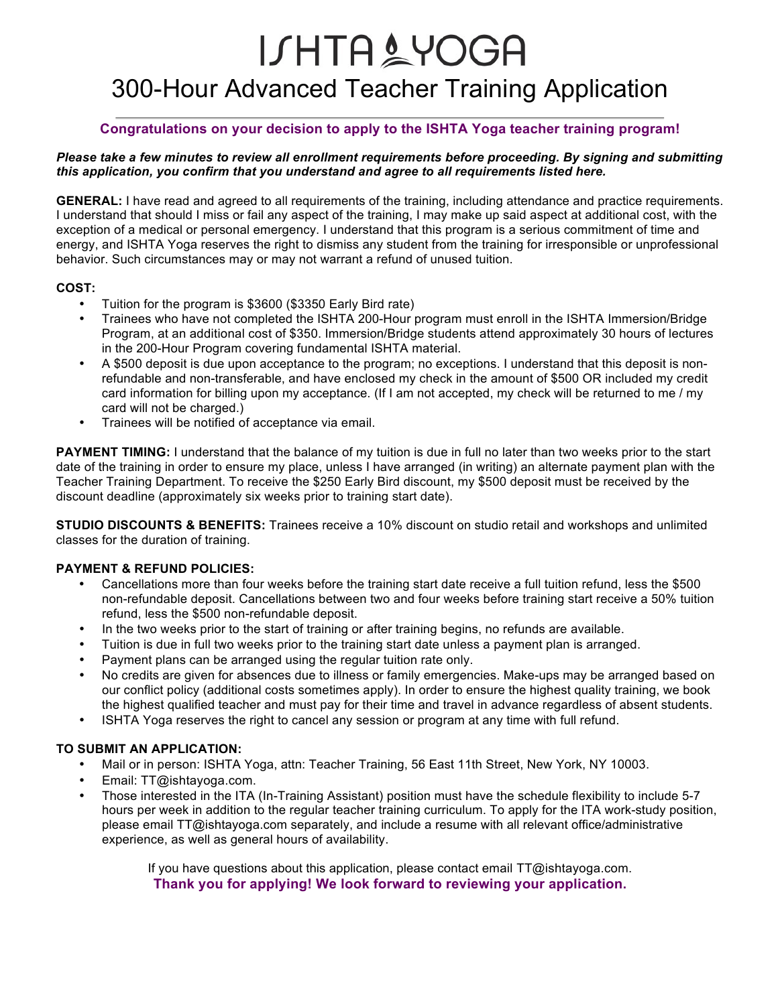# **ISHTA&YOGA** 300-Hour Advanced Teacher Training Application

## **Congratulations on your decision to apply to the ISHTA Yoga teacher training program!**

#### *Please take a few minutes to review all enrollment requirements before proceeding. By signing and submitting this application, you confirm that you understand and agree to all requirements listed here.*

**GENERAL:** I have read and agreed to all requirements of the training, including attendance and practice requirements. I understand that should I miss or fail any aspect of the training, I may make up said aspect at additional cost, with the exception of a medical or personal emergency. I understand that this program is a serious commitment of time and energy, and ISHTA Yoga reserves the right to dismiss any student from the training for irresponsible or unprofessional behavior. Such circumstances may or may not warrant a refund of unused tuition.

### **COST:**

- Tuition for the program is \$3600 (\$3350 Early Bird rate)
- Trainees who have not completed the ISHTA 200-Hour program must enroll in the ISHTA Immersion/Bridge Program, at an additional cost of \$350. Immersion/Bridge students attend approximately 30 hours of lectures in the 200-Hour Program covering fundamental ISHTA material.
- A \$500 deposit is due upon acceptance to the program; no exceptions. I understand that this deposit is nonrefundable and non-transferable, and have enclosed my check in the amount of \$500 OR included my credit card information for billing upon my acceptance. (If I am not accepted, my check will be returned to me / my card will not be charged.)
- Trainees will be notified of acceptance via email.

**PAYMENT TIMING:** I understand that the balance of my tuition is due in full no later than two weeks prior to the start date of the training in order to ensure my place, unless I have arranged (in writing) an alternate payment plan with the Teacher Training Department. To receive the \$250 Early Bird discount, my \$500 deposit must be received by the discount deadline (approximately six weeks prior to training start date).

**STUDIO DISCOUNTS & BENEFITS:** Trainees receive a 10% discount on studio retail and workshops and unlimited classes for the duration of training.

### **PAYMENT & REFUND POLICIES:**

- Cancellations more than four weeks before the training start date receive a full tuition refund, less the \$500 non-refundable deposit. Cancellations between two and four weeks before training start receive a 50% tuition refund, less the \$500 non-refundable deposit.
- In the two weeks prior to the start of training or after training begins, no refunds are available.
- Tuition is due in full two weeks prior to the training start date unless a payment plan is arranged.
- Payment plans can be arranged using the regular tuition rate only.
- No credits are given for absences due to illness or family emergencies. Make-ups may be arranged based on our conflict policy (additional costs sometimes apply). In order to ensure the highest quality training, we book the highest qualified teacher and must pay for their time and travel in advance regardless of absent students.
- ISHTA Yoga reserves the right to cancel any session or program at any time with full refund.

### **TO SUBMIT AN APPLICATION:**

- Mail or in person: ISHTA Yoga, attn: Teacher Training, 56 East 11th Street, New York, NY 10003.
- Email: TT@ishtayoga.com.
- Those interested in the ITA (In-Training Assistant) position must have the schedule flexibility to include 5-7 hours per week in addition to the regular teacher training curriculum. To apply for the ITA work-study position, please email TT@ishtayoga.com separately, and include a resume with all relevant office/administrative experience, as well as general hours of availability.

If you have questions about this application, please contact email TT@ishtayoga.com. **Thank you for applying! We look forward to reviewing your application.**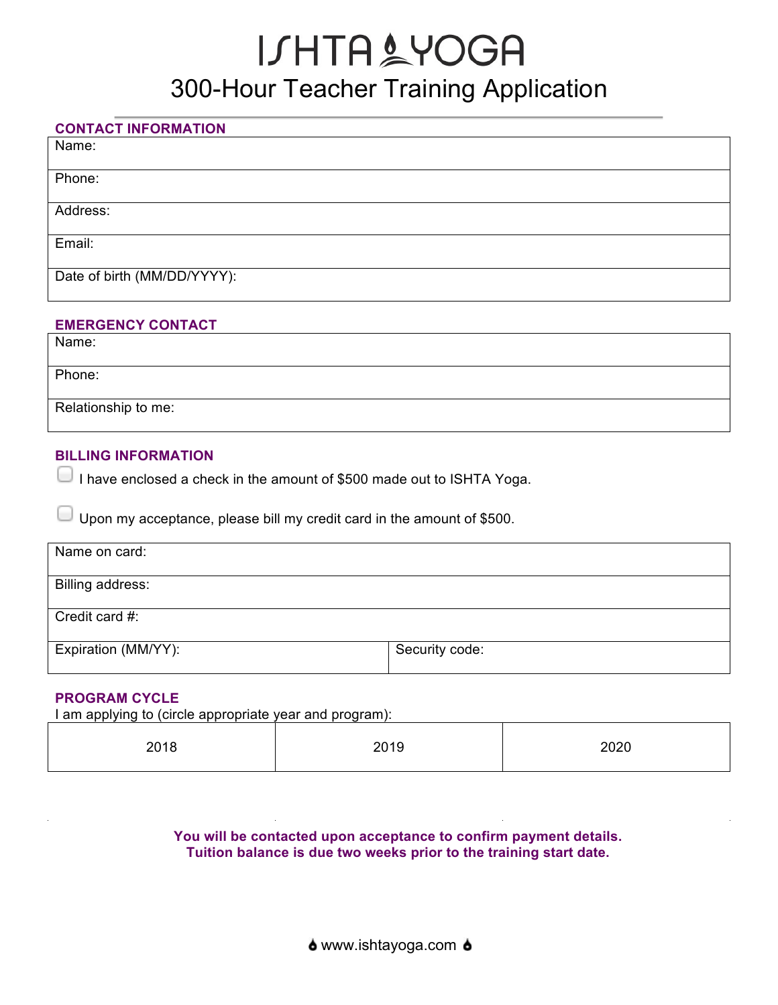# **ISHTA&YOGA** 300-Hour Teacher Training Application

## **CONTACT INFORMATION**

Name:

Phone:

Address:

Email:

Date of birth (MM/DD/YYYY):

## **EMERGENCY CONTACT**

Name:

Phone:

Relationship to me:

## **BILLING INFORMATION**

I have enclosed a check in the amount of \$500 made out to ISHTA Yoga.

Upon my acceptance, please bill my credit card in the amount of \$500.

| Name on card:       |                |
|---------------------|----------------|
| Billing address:    |                |
| Credit card #:      |                |
| Expiration (MM/YY): | Security code: |

## **PROGRAM CYCLE**

I am applying to (circle appropriate year and program):

| 2018 | 2019 | 2020 |
|------|------|------|
|      |      |      |

**You will be contacted upon acceptance to confirm payment details. Tuition balance is due two weeks prior to the training start date.**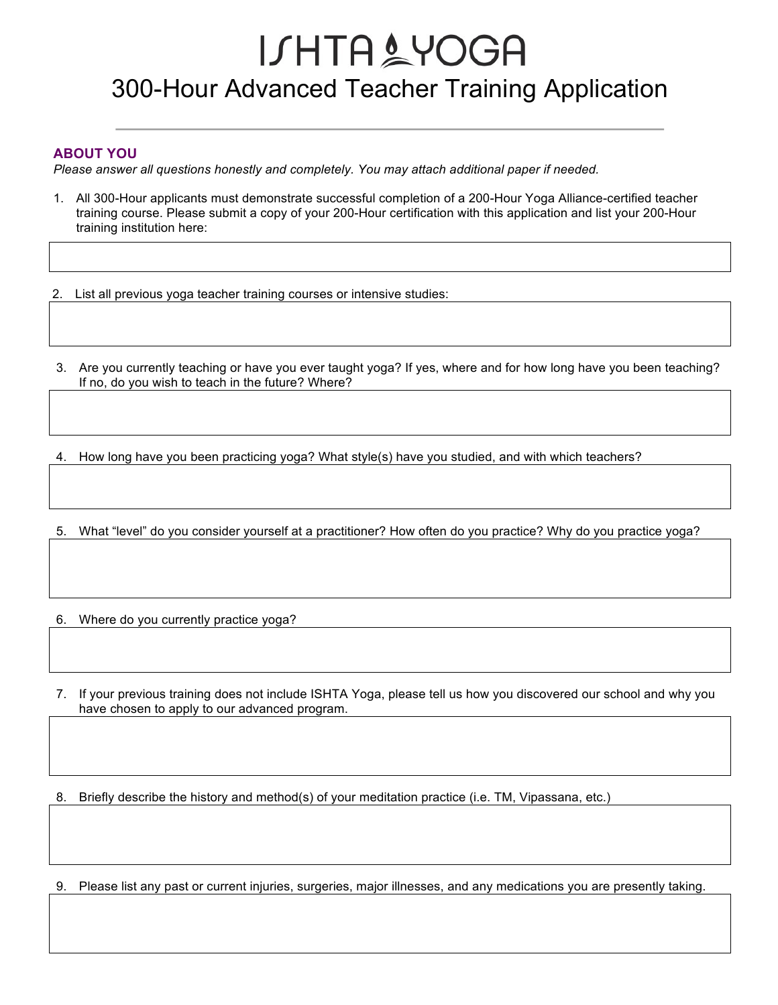# **ISHTA&YOGA** 300-Hour Advanced Teacher Training Application

### **ABOUT YOU**

*Please answer all questions honestly and completely. You may attach additional paper if needed.*

1. All 300-Hour applicants must demonstrate successful completion of a 200-Hour Yoga Alliance-certified teacher training course. Please submit a copy of your 200-Hour certification with this application and list your 200-Hour training institution here:

2. List all previous yoga teacher training courses or intensive studies:

3. Are you currently teaching or have you ever taught yoga? If yes, where and for how long have you been teaching? If no, do you wish to teach in the future? Where?

4. How long have you been practicing yoga? What style(s) have you studied, and with which teachers?

5. What "level" do you consider yourself at a practitioner? How often do you practice? Why do you practice yoga?

6. Where do you currently practice yoga?

7. If your previous training does not include ISHTA Yoga, please tell us how you discovered our school and why you have chosen to apply to our advanced program.

8. Briefly describe the history and method(s) of your meditation practice (i.e. TM, Vipassana, etc.)

9. Please list any past or current injuries, surgeries, major illnesses, and any medications you are presently taking.